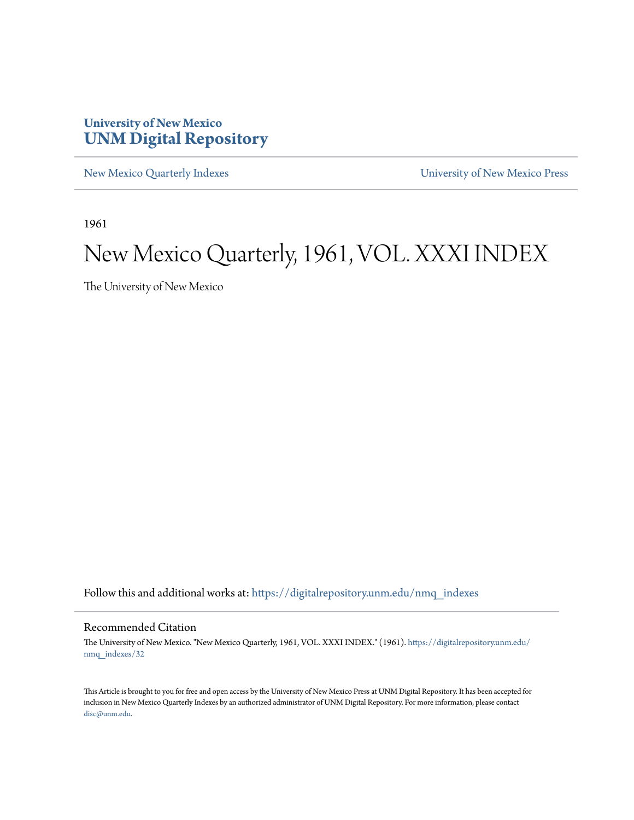### **University of New Mexico [UNM Digital Repository](https://digitalrepository.unm.edu?utm_source=digitalrepository.unm.edu%2Fnmq_indexes%2F32&utm_medium=PDF&utm_campaign=PDFCoverPages)**

[New Mexico Quarterly Indexes](https://digitalrepository.unm.edu/nmq_indexes?utm_source=digitalrepository.unm.edu%2Fnmq_indexes%2F32&utm_medium=PDF&utm_campaign=PDFCoverPages) [University of New Mexico Press](https://digitalrepository.unm.edu/press?utm_source=digitalrepository.unm.edu%2Fnmq_indexes%2F32&utm_medium=PDF&utm_campaign=PDFCoverPages)

1961

### New Mexico Quarterly, 1961, VOL. XXXI INDEX

The University of New Mexico

Follow this and additional works at: [https://digitalrepository.unm.edu/nmq\\_indexes](https://digitalrepository.unm.edu/nmq_indexes?utm_source=digitalrepository.unm.edu%2Fnmq_indexes%2F32&utm_medium=PDF&utm_campaign=PDFCoverPages)

#### Recommended Citation

The University of New Mexico. "New Mexico Quarterly, 1961, VOL. XXXI INDEX." (1961). [https://digitalrepository.unm.edu/](https://digitalrepository.unm.edu/nmq_indexes/32?utm_source=digitalrepository.unm.edu%2Fnmq_indexes%2F32&utm_medium=PDF&utm_campaign=PDFCoverPages) [nmq\\_indexes/32](https://digitalrepository.unm.edu/nmq_indexes/32?utm_source=digitalrepository.unm.edu%2Fnmq_indexes%2F32&utm_medium=PDF&utm_campaign=PDFCoverPages)

This Article is brought to you for free and open access by the University of New Mexico Press at UNM Digital Repository. It has been accepted for inclusion in New Mexico Quarterly Indexes by an authorized administrator of UNM Digital Repository. For more information, please contact [disc@unm.edu](mailto:disc@unm.edu).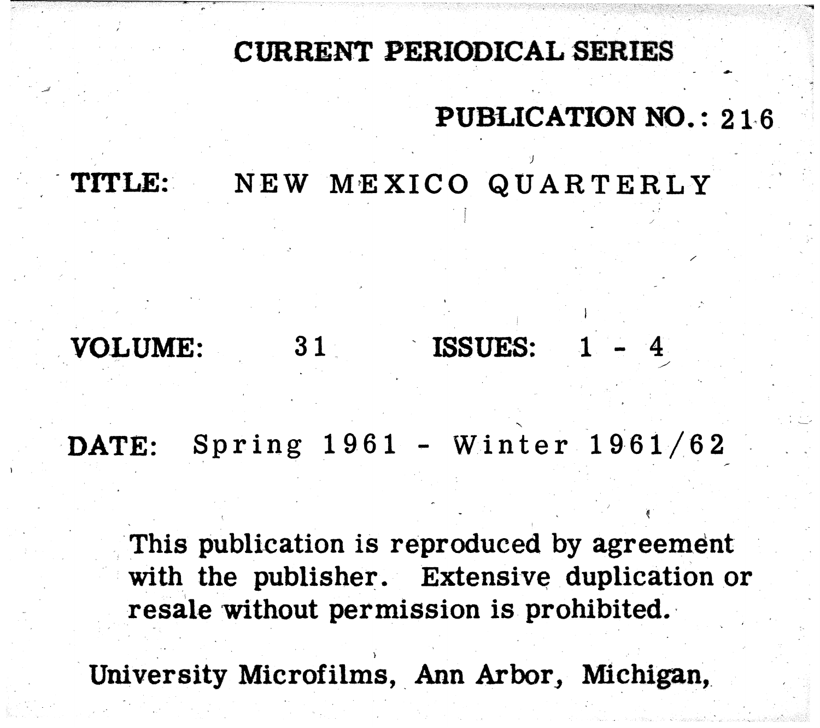## CURRENT PERIODICAL SERIES

ISSUES:

## TITLE: NEW MEXICO QUARTERLY

DATE:

VOLUME:

 $31$ 

This publication is reproduced by agreement with the publisher. Extensive duplication or resale without permission is prohibited.

University Microfilms, Ann Arbor, Michigan,

# PUBLICATION NO.: 216

 $Spring 1961 - Winter 1961/62$ 

 $1 - 4$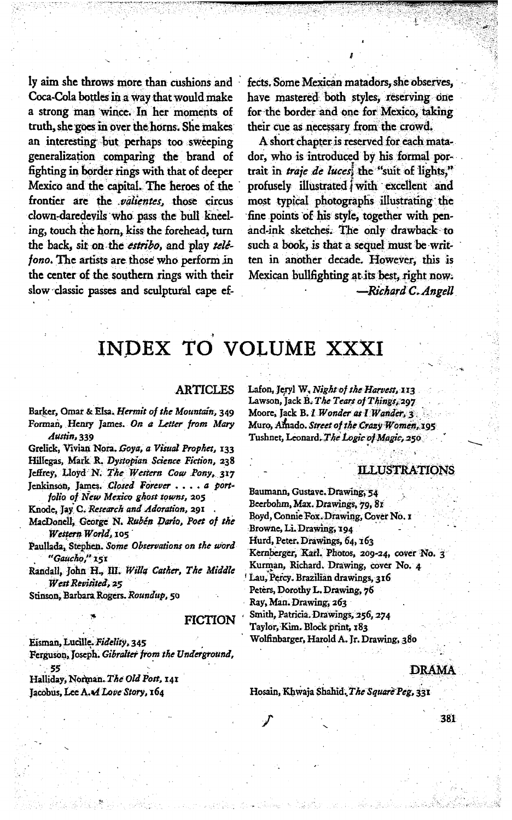ly aim she throws more than cushions and Coca-Cola bottles in a way that would make a strong man wince. In her moments of truth, she goes in over the horns. She makes an interesting but perhaps too sweeping generalization comparing the brand of fighting in border rings with that of deeper Mexico and the capital. The heroes of the frontier are the *valientes*, those circus clown-daredevils who pass the bull kneeling, touch the horn, kiss the forehead, turn the back, sit on the estribo, and play telefono. The artists are those who perform in the center of the southern rings with their slow classic passes and sculptural cape ef-

fects. Some Mexican matadors, she observes, have mastered both styles, reserving one for the border and one for Mexico, taking their cue as necessary from the crowd.

A short chapter is reserved for each matador, who is introduced by his formal portrait in *traje de luces*, the "suit of lights," profusely illustrated with excellent and most typical photographs illustrating the fine points of his style, together with penand-ink sketches. The only drawback to such a book, is that a sequel must be written in another decade. However, this is Mexican bullfighting at its best, right now. -Richard C. Angell

## INDEX TO VOLUME XXXI

#### **ARTICLES**

Barker, Omar & Elsa. Hermit of the Mountain, 349 Forman, Henry James. On a Letter from Mary Austin, 339

Grelick, Vivian Nora. Goya, a Visual Prophet, 133 Hillegas, Mark R. Dystopian Science Fiction, 238 Jeffrey, Lloyd N. The Western Cow Pony, 317 Jenkinson, James. Closed Forever . . . . a portfolio of New Mexico ghost towns, 205

Knode, Jay C. Research and Adoration, 291

MacDonell, George N. Rubén Dario, Poet of the Western World, 105

Paullada, Stephen. Some Observations on the word "Gaucho," 151

Randall, John H., III. Willa Cather, The Middle West Revisited, 25

Stinson, Barbara Rogers. Roundup, 50

#### **FICTION**

Eisman, Lucille. Fidelity, 345

Ferguson, Joseph. Gibralter from the Underground, 55

Halliday, Norman. The Old Post, 141 Jacobus, Lee A. A Love Story, 164

Lafon, Jeryl W. Night of the Harvest, 113 Lawson, Jack B. The Tears of Things, 297 Moore, Jack B. I Wonder as I Wander, 3. Muro, Amado. Street of the Crazy Women, 195 Tushnet, Leonard. The Logic of Magic, 250

#### **ILLUSTRATIONS**

Baumann, Gustave. Drawing, 54 Beerbohm, Max. Drawings, 79, 81 Boyd, Connie Fox. Drawing, Cover No. 1 Browne, Li. Drawing, 194 Hurd, Peter, Drawings, 64, 163 Kernberger, Karl. Photos, 209-24, cover No. 3 Kurman, Richard. Drawing, cover No. 4 Lau, Percy. Brazilian drawings, 316 Peters, Dorothy L. Drawing, 76 Ray, Man. Drawing, 263 Smith, Patricia. Drawings, 256, 274 Taylor, Kim. Block print, 183 Wolfinbarger, Harold A. Jr. Drawing, 380

#### **DRAMA**

381

Hosain, Khwaja Shahid, The Square Peg, 331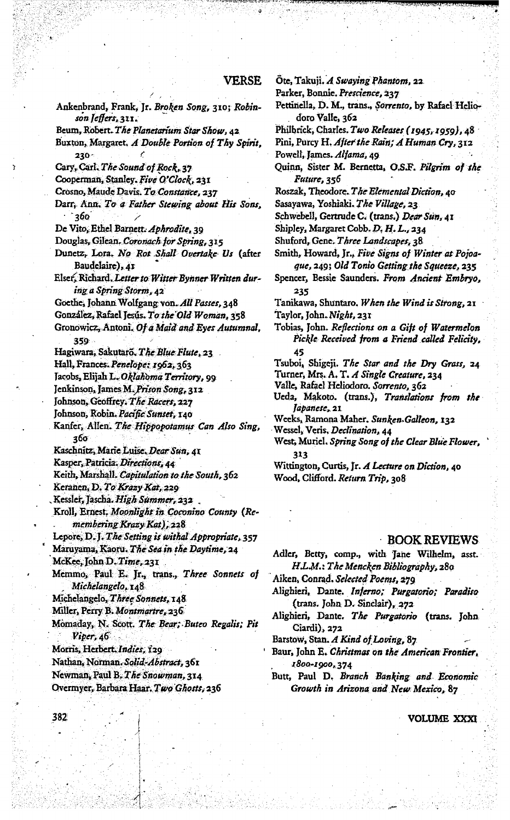#### VERSE

Ankenbrand, Frank, Jr. Broken Song, 310; Robinson Jeffers, 311. Beum, Robert. The Planetarium Star Show, 42. Buxton, Margaret. A Double Portion of Thy Spirit, 230-Cary, Carl. The Sound of Rock, 37 Cooperman, Stanley. Five O'Clock, 231 Crosno, Maude Davis. To Constance, 237 Darr, Ann. To a Father Stewing about His Sons, 360 De Vito, Ethel Barnett. Aphrodite, 39 Douglas, Gilean. Coronach for Spring, 315 Dunetz, Lora, No Rot Shall Overtake Us (after Baudelaire), 41 Elser, Richard, Letter to Witter Bynner Written during a Spring Storm, 42 Goethe, Johann Wolfgang von. All Passes, 348 González, Rafael Jesús. To the Old Woman, 358 Gronowicz, Antoni. Of a Maid and Eyes Autumnal, 359 Hagiwara, Sakutaro, The Blue Flute, 23 Hall, Frances. Penelope: 1962, 363 Jacobs, Elijah L. Oklahoma Territory, 99 Jenkinson, James M. Prison Song, 312 Johnson, Geoffrey. The Racers, 227 Johnson, Robin. Pacific Sunset, 140 Kanfer, Allen. The Hippopotamus Can Also Sing, 360 Kaschnitz, Marie Luise, Dear Sun, 41 Kasper, Patricia. Directions, 44 Keith, Marshall. Capitulation to the South, 362 Keranen, D. To Krazy Kat, 229 Kessler, Jascha. High Summer, 232. Kroll, Ernest. Moonlight in Coconino County (Remembering Krazy Kat), 228 Lepore, D.J. The Setting is withal Appropriate, 357 Maruyama, Kaoru. The Sea in the Daytime, 24 McKee, John D. Time, 231 Memmo, Paul E. Jr., trans., Three Sonnets of Michelangelo, 148 Michelangelo, Three Sonnets, 148 Miller, Perry B. Montmartre, 236 Momaday, N. Scott. The Bear; Buteo Regalis; Pit  $Viper, 46$ Morris, Herbert, Indies, 129 Nathan, Norman. Solid-Abstract, 361 Newman, Paul B. The Snowman, 314 Overmyer, Barbara Haar. Two Ghosts, 236

Ote, Takuji. A Swaying Phantom, 22

Parker, Bonnie. Prescience, 237

Pettinella, D. M., trans., Sorrento, by Rafael Heliodoro Valle, 362

Philbrick, Charles. Two Releases (1945, 1959), 48

- Pini, Purcy H. After the Rain; A Human Cry, 312 Powell, James. Alfama, 49.
- Quinn, Sister M. Bernetta, O.S.F. Pilgrim of the Future, 356
- Roszak, Theodore. The Elemental Diction, 40
- Sasayawa, Yoshiaki. The Village, 23

Schwebell, Gertrude C. (trans.) Dear Sun, 41

Shipley, Margaret Cobb. D. H. L., 234

- Shuford, Gene. Three Landscapes, 38
- Smith, Howard, Jr., Five Signs of Winter at Pojoaque, 249; Old Tonio Getting the Squeeze, 235
- Spencer, Bessie Saunders. From Ancient Embryo, 235

Tanikawa, Shuntaro, When the Wind is Strong, 21 Taylor, John. Night, 231

Tobias, John. Reflections on a Gift of Watermelon Pickle Received from a Friend called Felicity, 45

Tsuboi, Shigeji. The Star and the Dry Grass, 24

Turner, Mrs. A. T. A Single Creature, 234

Valle, Rafael Heliodoro. Sorrento, 362

Ueda, Makoto. (trans.), Translations from the Japanese, 21

Weeks, Ramona Maher. Sunken-Galleon, 132

Wessel, Veris, Declination, 44

West, Muriel. Spring Song of the Clear Blue Flower, 313

Wittington, Curtis, Jr. A Lecture on Diction, 40 Wood, Clifford. *Return Trip*, 308

#### **BOOK REVIEWS**

Adler, Betty, comp., with Jane Wilhelm, asst. H.L.M.: The Mencken Bibliography, 280

Aiken, Conrad. Selected Poems, 279

- Alighieri, Dante. Inferno; Purgatorio; Paradiso (trans. John D. Sinclair), 272
- Alighieri, Dante. The Purgatorio (trans. John Ciardi), 272

Barstow, Stan. A Kind of Loving, 87

Baur, John E. Christmas on the American Frontier, 1800-1900, 374

Butt, Paul D. Branch Banking and Economic Growth in Arizona and New Mexico, 87

**VOLUME XXXI** 

382